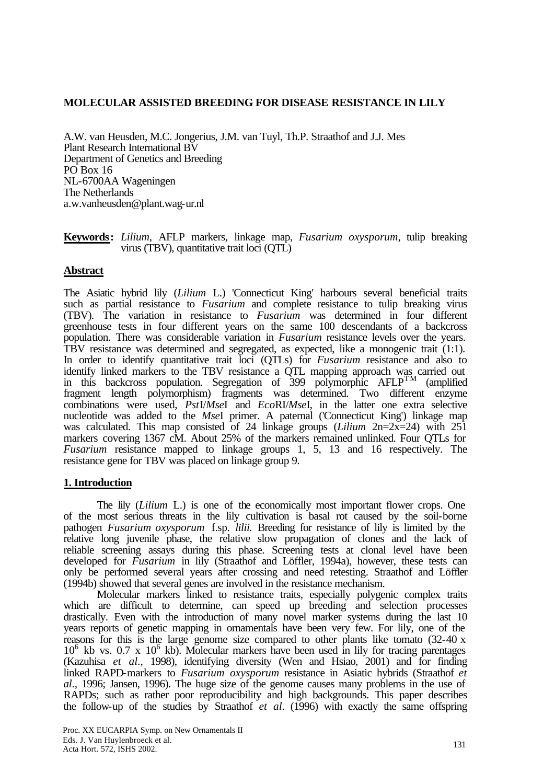# **MOLECULAR ASSISTED BREEDING FOR DISEASE RESISTANCE IN LILY**

A.W. van Heusden, M.C. Jongerius, J.M. van Tuyl, Th.P. Straathof and J.J. Mes Plant Research International BV Department of Genetics and Breeding PO Box 16 NL-6700AA Wageningen The Netherlands a.w.vanheusden@plant.wag-ur.nl

## **Keywords:** *Lilium*, AFLP markers, linkage map, *Fusarium oxysporum*, tulip breaking virus (TBV), quantitative trait loci (QTL)

# **Abstract**

The Asiatic hybrid lily (*Lilium* L.) 'Connecticut King' harbours several beneficial traits such as partial resistance to *Fusarium* and complete resistance to tulip breaking virus (TBV). The variation in resistance to *Fusarium* was determined in four different greenhouse tests in four different years on the same 100 descendants of a backcross population. There was considerable variation in *Fusarium* resistance levels over the years. TBV resistance was determined and segregated, as expected, like a monogenic trait (1:1). In order to identify quantitative trait loci (QTLs) for *Fusarium* resistance and also to identify linked markers to the TBV resistance a QTL mapping approach was carried out in this backcross population. Segregation of  $399$  polymorphic  $AFLP^{TM}$  (amplified fragment length polymorphism) fragments was determined. Two different enzyme combinations were used, *Pst*I/*Mse*I and *Eco*RI/*Mse*I, in the latter one extra selective nucleotide was added to the *Mse*I primer. A paternal ('Connecticut King') linkage map was calculated. This map consisted of 24 linkage groups (*Lilium* 2n=2x=24) with 251 markers covering 1367 cM. About 25% of the markers remained unlinked. Four QTLs for *Fusarium* resistance mapped to linkage groups 1, 5, 13 and 16 respectively. The resistance gene for TBV was placed on linkage group 9.

# **1. Introduction**

The lily (*Lilium* L.) is one of the economically most important flower crops. One of the most serious threats in the lily cultivation is basal rot caused by the soil-borne pathogen *Fusarium oxysporum* f.sp. *lilii.* Breeding for resistance of lily is limited by the relative long juvenile phase, the relative slow propagation of clones and the lack of reliable screening assays during this phase. Screening tests at clonal level have been developed for *Fusarium* in lily (Straathof and Löffler, 1994a), however, these tests can only be performed several years after crossing and need retesting. Straathof and Löffler (1994b) showed that several genes are involved in the resistance mechanism.

Molecular markers linked to resistance traits, especially polygenic complex traits which are difficult to determine, can speed up breeding and selection processes drastically. Even with the introduction of many novel marker systems during the last 10 years reports of genetic mapping in ornamentals have been very few. For lily, one of the reasons for this is the large genome size compared to other plants like tomato (32-40 x  $10^6$  kb vs. 0.7 x  $10^6$  kb). Molecular markers have been used in lily for tracing parentages (Kazuhisa *et al*.*,* 1998), identifying diversity (Wen and Hsiao, 2001) and for finding linked RAPD-markers to *Fusarium oxysporum* resistance in Asiatic hybrids (Straathof *et al*.*,* 1996; Jansen, 1996). The huge size of the genome causes many problems in the use of RAPDs; such as rather poor reproducibility and high backgrounds. This paper describes the follow-up of the studies by Straathof *et al*. (1996) with exactly the same offspring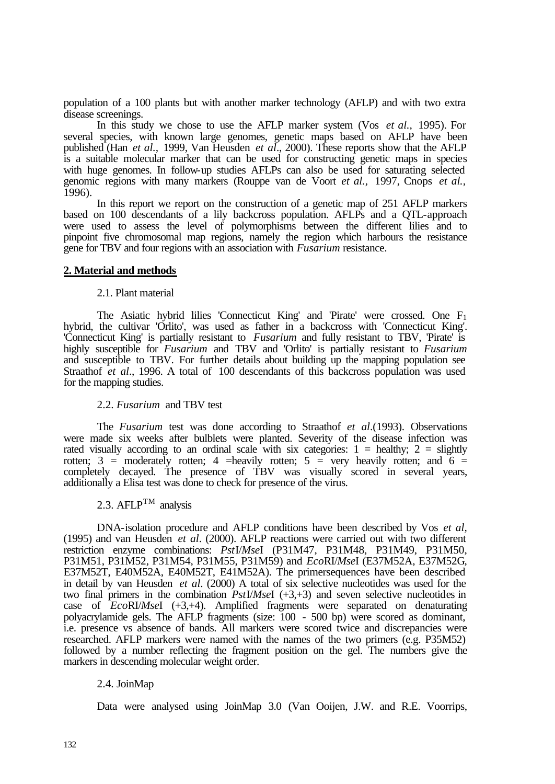population of a 100 plants but with another marker technology (AFLP) and with two extra disease screenings.

In this study we chose to use the AFLP marker system (Vos *et al.,* 1995). For several species, with known large genomes, genetic maps based on AFLP have been published (Han *et al.,* 1999, Van Heusden *et al*., 2000). These reports show that the AFLP is a suitable molecular marker that can be used for constructing genetic maps in species with huge genomes. In follow-up studies AFLPs can also be used for saturating selected genomic regions with many markers (Rouppe van de Voort *et al.,* 1997, Cnops *et al.,*  1996).

In this report we report on the construction of a genetic map of 251 AFLP markers based on 100 descendants of a lily backcross population. AFLPs and a QTL-approach were used to assess the level of polymorphisms between the different lilies and to pinpoint five chromosomal map regions, namely the region which harbours the resistance gene for TBV and four regions with an association with *Fusarium* resistance.

## **2. Material and methods**

## 2.1. Plant material

The Asiatic hybrid lilies 'Connecticut King' and 'Pirate' were crossed. One  $F_1$ hybrid, the cultivar 'Orlito', was used as father in a backcross with 'Connecticut King'. 'Connecticut King' is partially resistant to *Fusarium* and fully resistant to TBV, 'Pirate' is highly susceptible for *Fusarium* and TBV and 'Orlito' is partially resistant to *Fusarium*  and susceptible to TBV. For further details about building up the mapping population see Straathof *et al*., 1996. A total of 100 descendants of this backcross population was used for the mapping studies.

#### 2.2. *Fusarium* and TBV test

The *Fusarium* test was done according to Straathof *et al*.(1993). Observations were made six weeks after bulblets were planted. Severity of the disease infection was rated visually according to an ordinal scale with six categories:  $1 =$  healthy;  $2 =$  slightly rotten; 3 = moderately rotten; 4 = heavily rotten; 5 = very heavily rotten; and  $6 =$ completely decayed. The presence of TBV was visually scored in several years, additionally a Elisa test was done to check for presence of the virus.

# 2.3. AFL $P^{TM}$  analysis

DNA-isolation procedure and AFLP conditions have been described by Vos *et al,* (1995) and van Heusden *et al*. (2000). AFLP reactions were carried out with two different restriction enzyme combinations: *Pst*I/*Mse*I (P31M47, P31M48, P31M49, P31M50, P31M51, P31M52, P31M54, P31M55, P31M59) and *Eco*RI/*Mse*I (E37M52A, E37M52G, E37M52T, E40M52A, E40M52T, E41M52A). The primersequences have been described in detail by van Heusden *et al*. (2000) A total of six selective nucleotides was used for the two final primers in the combination *Pst*I/*Mse*I (+3,+3) and seven selective nucleotides in case of *Eco*RI/*Mse*I (+3,+4). Amplified fragments were separated on denaturating polyacrylamide gels. The AFLP fragments (size: 100 - 500 bp) were scored as dominant, i.e. presence vs absence of bands. All markers were scored twice and discrepancies were researched. AFLP markers were named with the names of the two primers (e.g. P35M52) followed by a number reflecting the fragment position on the gel. The numbers give the markers in descending molecular weight order.

## 2.4. JoinMap

Data were analysed using JoinMap 3.0 (Van Ooijen, J.W. and R.E. Voorrips,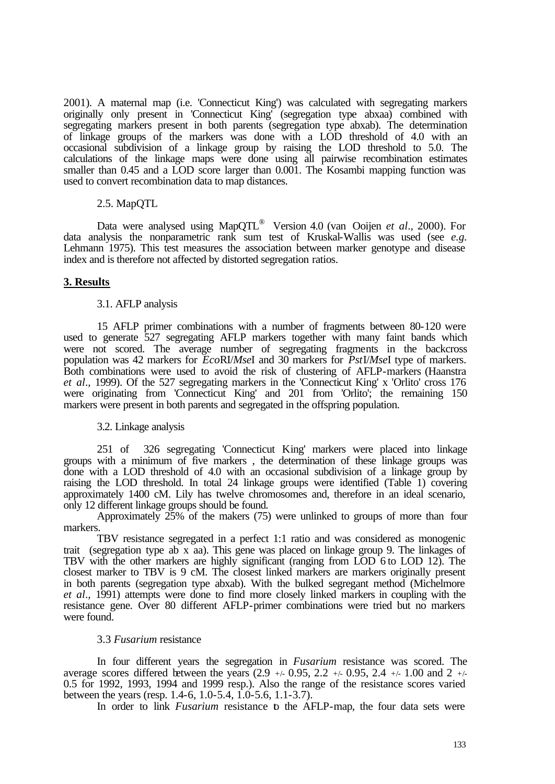2001). A maternal map (i.e. 'Connecticut King') was calculated with segregating markers originally only present in 'Connecticut King' (segregation type abxaa) combined with segregating markers present in both parents (segregation type abxab). The determination of linkage groups of the markers was done with a LOD threshold of 4.0 with an occasional subdivision of a linkage group by raising the LOD threshold to 5.0. The calculations of the linkage maps were done using all pairwise recombination estimates smaller than 0.45 and a LOD score larger than 0.001. The Kosambi mapping function was used to convert recombination data to map distances.

#### 2.5. MapQTL

Data were analysed using MapQTL® Version 4.0 (van Ooijen *et al*.*,* 2000). For data analysis the nonparametric rank sum test of Kruskal-Wallis was used (see *e.g.*  Lehmann 1975). This test measures the association between marker genotype and disease index and is therefore not affected by distorted segregation ratios.

#### **3. Results**

#### 3.1. AFLP analysis

15 AFLP primer combinations with a number of fragments between 80-120 were used to generate 527 segregating AFLP markers together with many faint bands which were not scored. The average number of segregating fragments in the backcross population was 42 markers for *Eco*RI/*Mse*I and 30 markers for *Pst*I/*Mse*I type of markers. Both combinations were used to avoid the risk of clustering of AFLP-markers (Haanstra *et al*.*,* 1999). Of the 527 segregating markers in the 'Connecticut King' x 'Orlito' cross 176 were originating from 'Connecticut King' and 201 from 'Orlito'; the remaining 150 markers were present in both parents and segregated in the offspring population.

#### 3.2. Linkage analysis

251 of 326 segregating 'Connecticut King' markers were placed into linkage groups with a minimum of five markers , the determination of these linkage groups was done with a LOD threshold of 4.0 with an occasional subdivision of a linkage group by raising the LOD threshold. In total 24 linkage groups were identified (Table 1) covering approximately 1400 cM. Lily has twelve chromosomes and, therefore in an ideal scenario, only 12 different linkage groups should be found.

Approximately 25% of the makers (75) were unlinked to groups of more than four markers.

TBV resistance segregated in a perfect 1:1 ratio and was considered as monogenic trait (segregation type ab x aa). This gene was placed on linkage group 9. The linkages of TBV with the other markers are highly significant (ranging from LOD 6 to LOD 12). The closest marker to TBV is 9 cM. The closest linked markers are markers originally present in both parents (segregation type abxab). With the bulked segregant method (Michelmore *et al*.*,* 1991) attempts were done to find more closely linked markers in coupling with the resistance gene. Over 80 different AFLP-primer combinations were tried but no markers were found.

#### 3.3 *Fusarium* resistance

In four different years the segregation in *Fusarium* resistance was scored. The average scores differed between the years  $(2.9 +1.0.95, 2.2 +1.0.95, 2.4 +1.1.00$  and  $2 +1.1.00$ 0.5 for 1992, 1993, 1994 and 1999 resp.). Also the range of the resistance scores varied between the years (resp. 1.4-6, 1.0-5.4, 1.0-5.6, 1.1-3.7).

In order to link *Fusarium* resistance to the AFLP-map, the four data sets were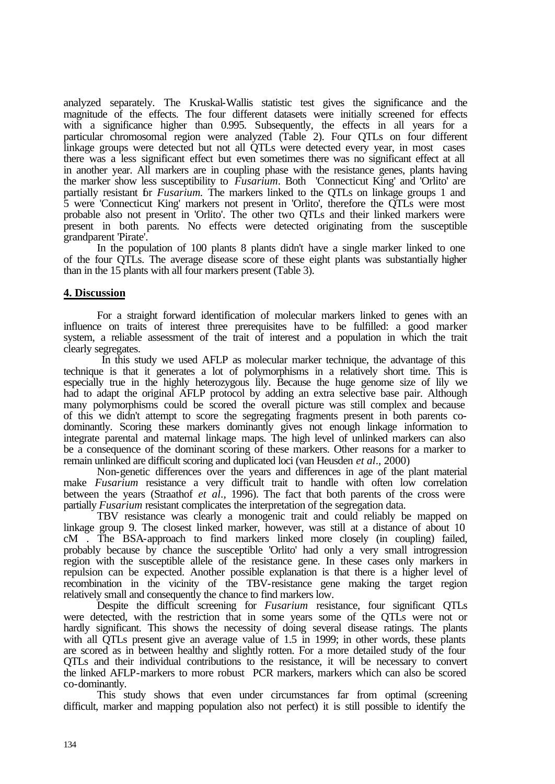analyzed separately. The Kruskal-Wallis statistic test gives the significance and the magnitude of the effects. The four different datasets were initially screened for effects with a significance higher than 0.995. Subsequently, the effects in all years for a particular chromosomal region were analyzed (Table 2). Four QTLs on four different linkage groups were detected but not all QTLs were detected every year, in most cases there was a less significant effect but even sometimes there was no significant effect at all in another year. All markers are in coupling phase with the resistance genes, plants having the marker show less susceptibility to *Fusarium*. Both 'Connecticut King' and 'Orlito' are partially resistant for *Fusarium.* The markers linked to the QTLs on linkage groups 1 and 5 were 'Connecticut King' markers not present in 'Orlito', therefore the QTLs were most probable also not present in 'Orlito'. The other two QTLs and their linked markers were present in both parents. No effects were detected originating from the susceptible grandparent 'Pirate'.

In the population of 100 plants 8 plants didn't have a single marker linked to one of the four QTLs. The average disease score of these eight plants was substantially higher than in the 15 plants with all four markers present (Table 3).

# **4. Discussion**

For a straight forward identification of molecular markers linked to genes with an influence on traits of interest three prerequisites have to be fulfilled: a good marker system, a reliable assessment of the trait of interest and a population in which the trait clearly segregates.

 In this study we used AFLP as molecular marker technique, the advantage of this technique is that it generates a lot of polymorphisms in a relatively short time. This is especially true in the highly heterozygous lily. Because the huge genome size of lily we had to adapt the original AFLP protocol by adding an extra selective base pair. Although many polymorphisms could be scored the overall picture was still complex and because of this we didn't attempt to score the segregating fragments present in both parents codominantly. Scoring these markers dominantly gives not enough linkage information to integrate parental and maternal linkage maps. The high level of unlinked markers can also be a consequence of the dominant scoring of these markers. Other reasons for a marker to remain unlinked are difficult scoring and duplicated loci (van Heusden *et al*.*,* 2000)

Non-genetic differences over the years and differences in age of the plant material make *Fusarium* resistance a very difficult trait to handle with often low correlation between the years (Straathof *et al*.*,* 1996). The fact that both parents of the cross were partially *Fusarium* resistant complicates the interpretation of the segregation data.

TBV resistance was clearly a monogenic trait and could reliably be mapped on linkage group 9. The closest linked marker, however, was still at a distance of about 10 cM . The BSA-approach to find markers linked more closely (in coupling) failed, probably because by chance the susceptible 'Orlito' had only a very small introgression region with the susceptible allele of the resistance gene. In these cases only markers in repulsion can be expected. Another possible explanation is that there is a higher level of recombination in the vicinity of the TBV-resistance gene making the target region relatively small and consequently the chance to find markers low.

Despite the difficult screening for *Fusarium* resistance, four significant QTLs were detected, with the restriction that in some years some of the QTLs were not or hardly significant. This shows the necessity of doing several disease ratings. The plants with all QTLs present give an average value of 1.5 in 1999; in other words, these plants are scored as in between healthy and slightly rotten. For a more detailed study of the four QTLs and their individual contributions to the resistance, it will be necessary to convert the linked AFLP-markers to more robust PCR markers, markers which can also be scored co-dominantly.

This study shows that even under circumstances far from optimal (screening difficult, marker and mapping population also not perfect) it is still possible to identify the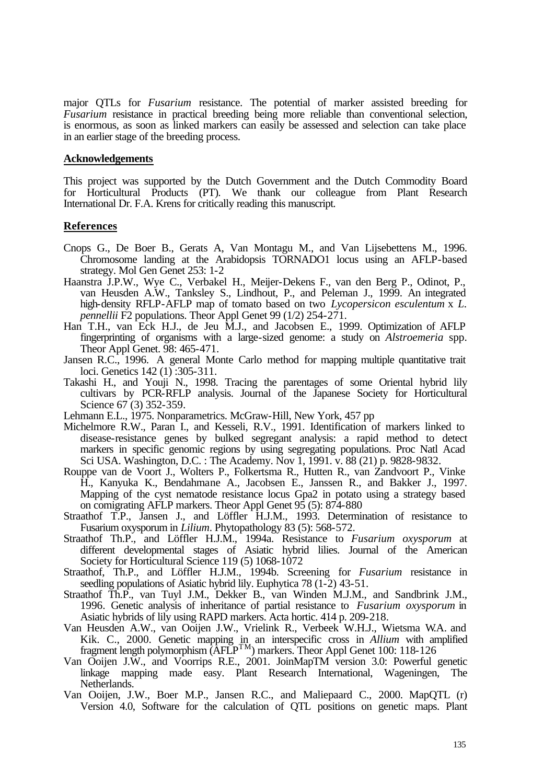major QTLs for *Fusarium* resistance. The potential of marker assisted breeding for *Fusarium* resistance in practical breeding being more reliable than conventional selection, is enormous, as soon as linked markers can easily be assessed and selection can take place in an earlier stage of the breeding process.

#### **Acknowledgements**

This project was supported by the Dutch Government and the Dutch Commodity Board for Horticultural Products (PT). We thank our colleague from Plant Research International Dr. F.A. Krens for critically reading this manuscript.

## **References**

- Cnops G., De Boer B., Gerats A, Van Montagu M., and Van Lijsebettens M., 1996. Chromosome landing at the Arabidopsis TORNADO1 locus using an AFLP-based strategy. Mol Gen Genet 253: 1-2
- Haanstra J.P.W., Wye C., Verbakel H., Meijer-Dekens F., van den Berg P., Odinot, P., van Heusden A.W., Tanksley S., Lindhout, P., and Peleman J., 1999. An integrated high-density RFLP-AFLP map of tomato based on two *Lycopersicon esculentum* x *L. pennellii* F2 populations. Theor Appl Genet 99 (1/2) 254-271.
- Han T.H., van Eck H.J., de Jeu M.J., and Jacobsen E., 1999. Optimization of AFLP fingerprinting of organisms with a large-sized genome: a study on *Alstroemeria* spp. Theor Appl Genet. 98: 465-471.
- Jansen R.C., 1996. A general Monte Carlo method for mapping multiple quantitative trait loci. Genetics 142 (1) :305-311.
- Takashi H., and Youji N., 1998. Tracing the parentages of some Oriental hybrid lily cultivars by PCR-RFLP analysis. Journal of the Japanese Society for Horticultural Science 67 (3) 352-359.
- Lehmann E.L., 1975. Nonparametrics. McGraw-Hill, New York, 457 pp
- Michelmore R.W., Paran I., and Kesseli, R.V., 1991. Identification of markers linked to disease-resistance genes by bulked segregant analysis: a rapid method to detect markers in specific genomic regions by using segregating populations. Proc Natl Acad Sci USA. Washington, D.C. : The Academy. Nov 1, 1991. v. 88 (21) p. 9828-9832.
- Rouppe van de Voort J., Wolters P., Folkertsma R., Hutten R., van Zandvoort P., Vinke H., Kanyuka K., Bendahmane A., Jacobsen E., Janssen R., and Bakker J., 1997. Mapping of the cyst nematode resistance locus Gpa2 in potato using a strategy based on comigrating AFLP markers. Theor Appl Genet 95 (5): 874-880
- Straathof T.P., Jansen J., and Löffler H.J.M., 1993. Determination of resistance to Fusarium oxysporum in *Lilium*. Phytopathology 83 (5): 568-572.
- Straathof Th.P., and Löffler H.J.M., 1994a. Resistance to *Fusarium oxysporum* at different developmental stages of Asiatic hybrid lilies. Journal of the American Society for Horticultural Science 119 (5) 1068-1072
- Straathof, Th.P., and Löffler H.J.M., 1994b. Screening for *Fusarium* resistance in seedling populations of Asiatic hybrid lily. Euphytica 78 (1-2) 43-51.
- Straathof Th.P., van Tuyl J.M., Dekker B., van Winden M.J.M., and Sandbrink J.M., 1996. Genetic analysis of inheritance of partial resistance to *Fusarium oxysporum* in Asiatic hybrids of lily using RAPD markers. Acta hortic. 414 p. 209-218.
- Van Heusden A.W., van Ooijen J.W., Vrielink R., Verbeek W.H.J., Wietsma W.A. and Kik. C., 2000. Genetic mapping in an interspecific cross in *Allium* with amplified fragment length polymorphism  $(AFLP<sup>TM</sup>)$  markers. Theor Appl Genet 100: 118-126
- Van Ooijen J.W., and Voorrips R.E., 2001. JoinMapTM version 3.0: Powerful genetic linkage mapping made easy. Plant Research International, Wageningen, The Netherlands.
- Van Ooijen, J.W., Boer M.P., Jansen R.C., and Maliepaard C., 2000. MapQTL (r) Version 4.0, Software for the calculation of QTL positions on genetic maps. Plant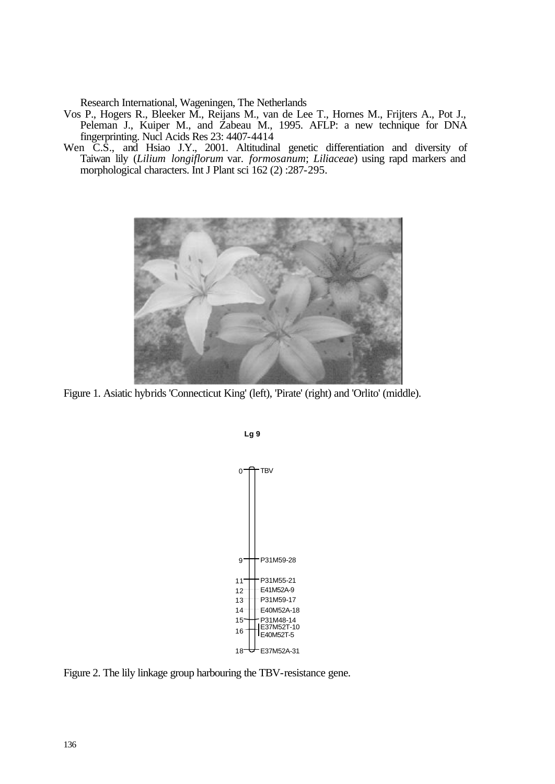Research International, Wageningen, The Netherlands

- Vos P., Hogers R., Bleeker M., Reijans M., van de Lee T., Hornes M., Frijters A., Pot J., Peleman J., Kuiper M., and Zabeau M., 1995. AFLP: a new technique for DNA fingerprinting. Nucl Acids Res 23: 4407-4414
- Wen C.S., and Hsiao J.Y., 2001. Altitudinal genetic differentiation and diversity of Taiwan lily (*Lilium longiflorum* var. *formosanum*; *Liliaceae*) using rapd markers and morphological characters. Int J Plant sci 162 (2) :287-295.



Figure 1. Asiatic hybrids 'Connecticut King' (left), 'Pirate' (right) and 'Orlito' (middle).

**Lg 9**



Figure 2. The lily linkage group harbouring the TBV-resistance gene.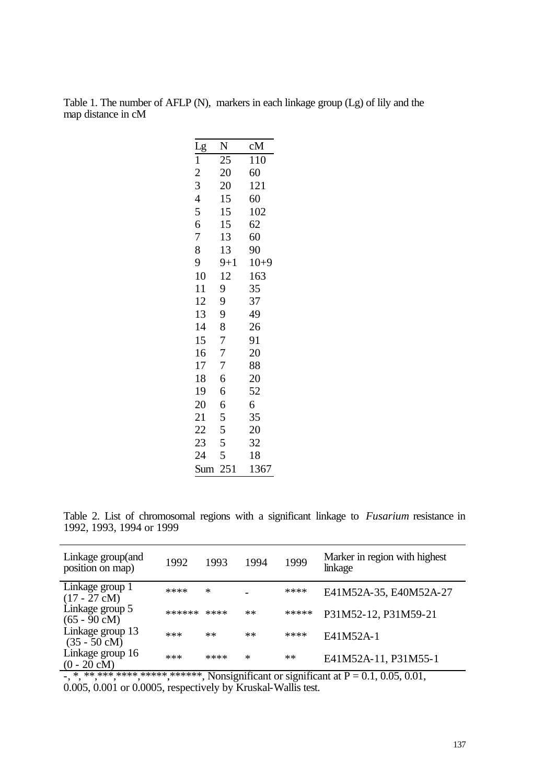| Ī              | N                                          | cM     |  |  |  |  |
|----------------|--------------------------------------------|--------|--|--|--|--|
| $\mathbf{1}$   | $\overline{25}$                            | 110    |  |  |  |  |
| $\overline{c}$ | 20                                         | 60     |  |  |  |  |
| $\frac{3}{4}$  | 20                                         | 121    |  |  |  |  |
|                | 15                                         | 60     |  |  |  |  |
| 5              | 15                                         | 102    |  |  |  |  |
|                | 15                                         | 62     |  |  |  |  |
| $\frac{6}{7}$  | 13                                         | 60     |  |  |  |  |
| 8              | 13                                         | 90     |  |  |  |  |
| 9              | $9 + 1$                                    | $10+9$ |  |  |  |  |
| 10             | 12                                         | 163    |  |  |  |  |
| 11             | 9                                          | 35     |  |  |  |  |
| 12             | 9                                          | 37     |  |  |  |  |
| 13             | 9                                          | 49     |  |  |  |  |
| 14             | 8                                          | 26     |  |  |  |  |
| 15             | $\begin{array}{c} 7 \\ 7 \\ 7 \end{array}$ | 91     |  |  |  |  |
| 16             |                                            | 20     |  |  |  |  |
| 17             |                                            | 88     |  |  |  |  |
| 18             | 6                                          | 20     |  |  |  |  |
| 19             | 6                                          | 52     |  |  |  |  |
| 20             |                                            | 6      |  |  |  |  |
| 21             |                                            | 35     |  |  |  |  |
| 22             |                                            | 20     |  |  |  |  |
| 23             | 6 5 5 5 5                                  | 32     |  |  |  |  |
| 24             |                                            | 18     |  |  |  |  |
| Sum            | 251                                        | 1367   |  |  |  |  |

Table 1. The number of AFLP (N), markers in each linkage group (Lg) of lily and the map distance in cM

Table 2. List of chromosomal regions with a significant linkage to *Fusarium* resistance in 1992, 1993, 1994 or 1999

| Linkage group(and<br>position on map)      | 1992   | 1993   | 1994 | 1999  | Marker in region with highest<br>linkage |
|--------------------------------------------|--------|--------|------|-------|------------------------------------------|
| Linkage group 1<br>$(17 - 27 \text{ cM})$  | ****   | $\ast$ |      | ****  | E41M52A-35, E40M52A-27                   |
| Linkage group 5<br>$(65 - 90 \text{ cM})$  | ****** | ****   | **   | ***** | P31M52-12, P31M59-21                     |
| Linkage group 13<br>$(35 - 50 \text{ cM})$ | ***    | $**$   | **   | ****  | E41M52A-1                                |
| Linkage group 16<br>$(0 - 20 \text{ cM})$  | ***    | ****   | *    | **    | E41M52A-11, P31M55-1                     |

 $-$ ,  $*,$   $***$ ,  $***$ ,  $***$ ,  $***$ ,  $***$ ,  $***$ ,  $Nonsignificant$  or significant at  $P = 0.1, 0.05, 0.01,$ 0.005, 0.001 or 0.0005, respectively by Kruskal-Wallis test.